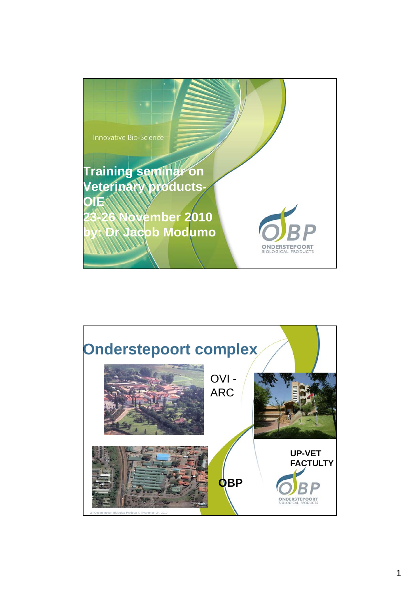

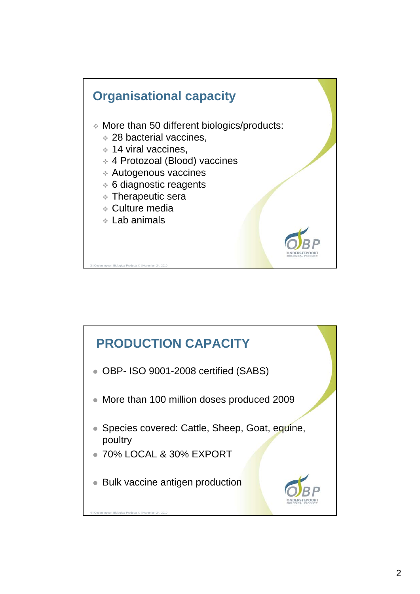

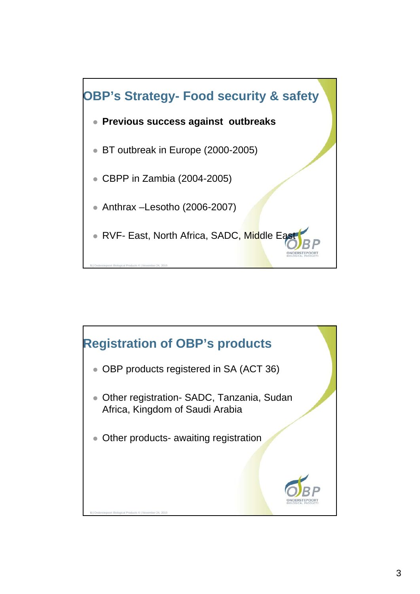

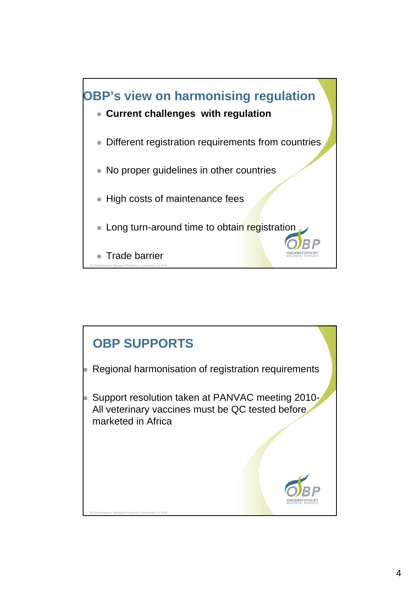